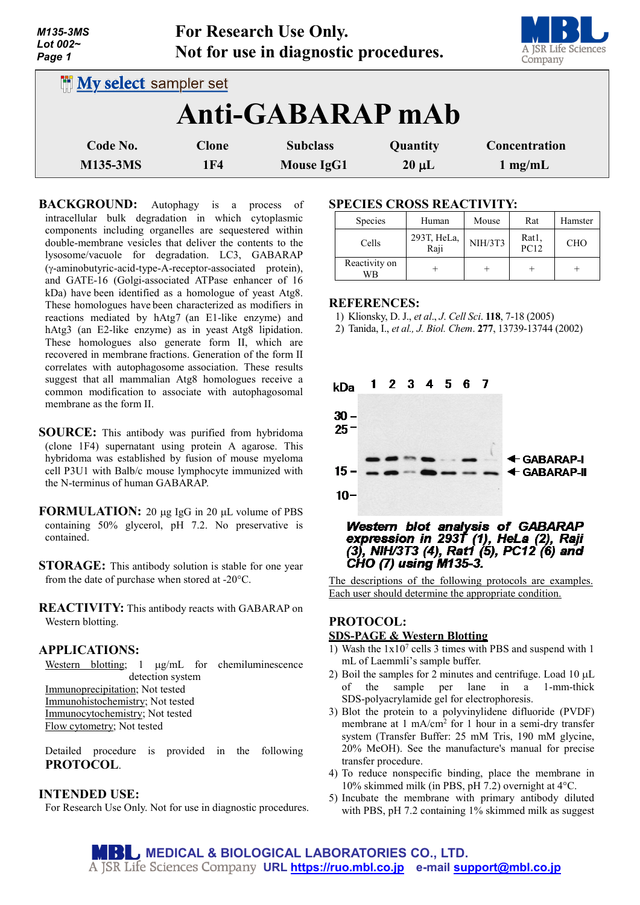| M135-3MS<br>Lot 002~<br>Page 1 |              | For Research Use Only.<br>Not for use in diagnostic procedures. |            | A JSR Life Sciences<br>Company |  |  |  |
|--------------------------------|--------------|-----------------------------------------------------------------|------------|--------------------------------|--|--|--|
| <b>My select sampler set</b>   |              |                                                                 |            |                                |  |  |  |
| Anti-GABARAP mAb               |              |                                                                 |            |                                |  |  |  |
| Code No.                       | <b>Clone</b> | <b>Subclass</b>                                                 | Quantity   | <b>Concentration</b>           |  |  |  |
| <b>M135-3MS</b>                | 1F4          | <b>Mouse IgG1</b>                                               | $20 \mu L$ | $1$ mg/mL                      |  |  |  |

**BACKGROUND:** Autophagy is a process of intracellular bulk degradation in which cytoplasmic components including organelles are sequestered within double-membrane vesicles that deliver the contents to the lysosome/vacuole for degradation. LC3, GABARAP (γ-aminobutyric-acid-type-A-receptor-associated protein), and GATE-16 (Golgi-associated ATPase enhancer of 16 kDa) have been identified as a homologue of yeast Atg8. These homologues have been characterized as modifiers in reactions mediated by hAtg7 (an E1-like enzyme) and hAtg3 (an E2-like enzyme) as in yeast Atg8 lipidation. These homologues also generate form II, which are recovered in membrane fractions. Generation of the form II correlates with autophagosome association. These results suggest that all mammalian Atg8 homologues receive a common modification to associate with autophagosomal membrane as the form II.

- **SOURCE:** This antibody was purified from hybridoma (clone 1F4) supernatant using protein A agarose. This hybridoma was established by fusion of mouse myeloma cell P3U1 with Balb/c mouse lymphocyte immunized with the N-terminus of human GABARAP.
- **FORMULATION:** 20 µg IgG in 20 µL volume of PBS containing 50% glycerol, pH 7.2. No preservative is contained.
- **STORAGE:** This antibody solution is stable for one year from the date of purchase when stored at -20°C.

**REACTIVITY:** This antibody reacts with GABARAP on Western blotting.

## **APPLICATIONS:**

Western blotting; 1  $\mu$ g/mL for chemiluminescence detection system

Immunoprecipitation; Not tested Immunohistochemistry; Not tested Immunocytochemistry; Not tested Flow cytometry; Not tested

Detailed procedure is provided in the following **PROTOCOL**.

## **INTENDED USE:**

For Research Use Only. Not for use in diagnostic procedures.

#### **SPECIES CROSS REACTIVITY:**

| <b>Species</b>      | Human               | Mouse          | Rat           | Hamster    |
|---------------------|---------------------|----------------|---------------|------------|
| Cells               | 293T, HeLa,<br>Raji | <b>NIH/3T3</b> | Rat1,<br>PC12 | <b>CHO</b> |
| Reactivity on<br>WR |                     |                |               |            |

#### **REFERENCES:**

1) Klionsky, D. J., *et al*., *J*. *Cell Sci*. **118**, 7-18 (2005)

2) Tanida, I., *et al., J. Biol. Chem*. **277**, 13739-13744 (2002)



Western blot analysis of GABARAP expression in 293T (1), HeLa (2), Raji (3), NIH/3T3 (4), Rat1 (5), PC12 (6) and **CHO (7) using M135-3.** 

The descriptions of the following protocols are examples. Each user should determine the appropriate condition.

# **PROTOCOL:**

# **SDS-PAGE & Western Blotting**

- 1) Wash the  $1x10^7$  cells 3 times with PBS and suspend with 1 mL of Laemmli's sample buffer.
- 2) Boil the samples for 2 minutes and centrifuge. Load  $10 \mu L$ of the sample per lane in a 1-mm-thick SDS-polyacrylamide gel for electrophoresis.
- 3) Blot the protein to a polyvinylidene difluoride (PVDF) membrane at 1 mA/cm<sup>2</sup> for 1 hour in a semi-dry transfer system (Transfer Buffer: 25 mM Tris, 190 mM glycine, 20% MeOH). See the manufacture's manual for precise transfer procedure.
- 4) To reduce nonspecific binding, place the membrane in 10% skimmed milk (in PBS, pH 7.2) overnight at 4°C.
- 5) Incubate the membrane with primary antibody diluted with PBS, pH 7.2 containing 1% skimmed milk as suggest